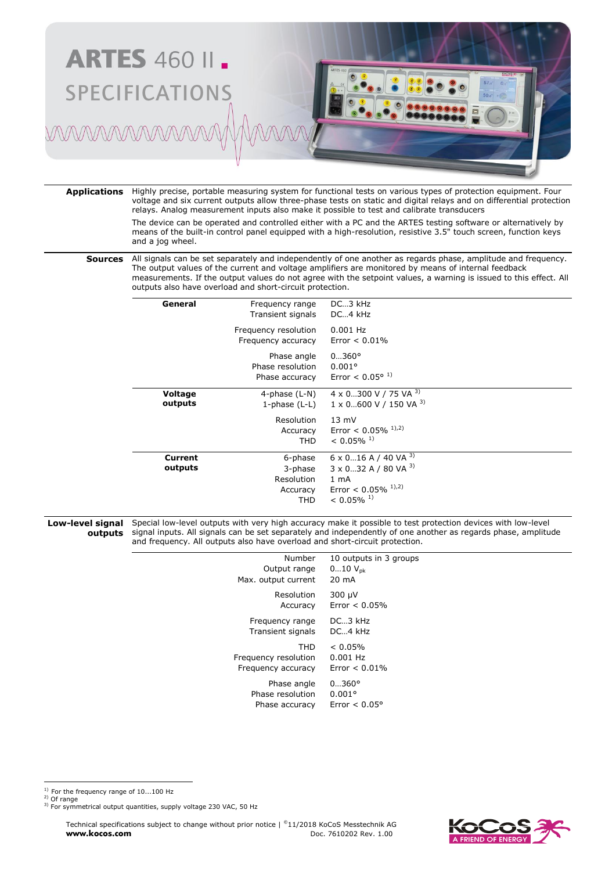

**Applications** Highly precise, portable measuring system for functional tests on various types of protection equipment. Four voltage and six current outputs allow three-phase tests on static and digital relays and on differential protection relays. Analog measurement inputs also make it possible to test and calibrate transducers

> The device can be operated and controlled either with a PC and the ARTES testing software or alternatively by means of the built-in control panel equipped with a high-resolution, resistive 3.5" touch screen, function keys and a jog wheel.

**Sources** All signals can be set separately and independently of one another as regards phase, amplitude and frequency. The output values of the current and voltage amplifiers are monitored by means of internal feedback measurements. If the output values do not agree with the setpoint values, a warning is issued to this effect. All outputs also have overload and short-circuit protection.

| General            | Frequency range<br>Transient signals                | DC3 kHz<br>DC4 kHz                                                                                                                                     |
|--------------------|-----------------------------------------------------|--------------------------------------------------------------------------------------------------------------------------------------------------------|
|                    | Frequency resolution<br>Frequency accuracy          | $0.001$ Hz<br>Error $< 0.01\%$                                                                                                                         |
|                    | Phase angle<br>Phase resolution<br>Phase accuracy   | $0360^{\circ}$<br>$0.001$ °<br>Error < $0.05^{\circ}$ <sup>1)</sup>                                                                                    |
| Voltage<br>outputs | 4-phase $(L-N)$<br>1-phase $(L-L)$                  | 4 x 0300 V / 75 VA 3)<br>$1 \times 0$ 600 V / 150 VA $3$ )                                                                                             |
|                    | Resolution<br>Accuracy<br><b>THD</b>                | $13 \text{ mV}$<br>Error < $0.05\%$ <sup>1),2)</sup><br>$< 0.05\%$ <sup>1)</sup>                                                                       |
| Current<br>outputs | 6-phase<br>3-phase<br>Resolution<br>Accuracy<br>THD | $6 \times 0$ 16 A / 40 VA $^{3}$ )<br>$3 \times 0$ 32 A / 80 VA 3)<br>1 <sub>mA</sub><br>Error < $0.05\%$ <sup>1),2)</sup><br>$< 0.05\%$ <sup>1)</sup> |

**Low-level signal outputs** Special low-level outputs with very high accuracy make it possible to test protection devices with low-level signal inputs. All signals can be set separately and independently of one another as regards phase, amplitude and frequency. All outputs also have overload and short-circuit protection.

| Number               | 10 outputs in 3 groups |
|----------------------|------------------------|
| Output range         | $010 V_{\text{pk}}$    |
| Max. output current  | 20 mA                  |
| Resolution           | 300 µV                 |
| Accuracy             | Error $< 0.05\%$       |
| Frequency range      | $DC \rightarrow 3$ kHz |
| Transient signals    | $DC_4$ kHz             |
| THD                  | $< 0.05\%$             |
| Frequency resolution | 0.001 Hz               |
| Frequency accuracy   | $Error < 0.01\%$       |
| Phase angle          | $0360^{\circ}$         |
| Phase resolution     | $0.001$ °              |
| Phase accuracy       | Frror $< 0.05$ °       |
|                      |                        |

 $^{1)}$  For the frequency range of 10...100 Hz 2) Of range

Technical specifications subject to change without prior notice | ©11/2018 KoCoS Messtechnik AG **www.kocos.com** Doc. 7610202 Rev. 1.00



<sup>&</sup>lt;sup>3)</sup> For symmetrical output quantities, supply voltage 230 VAC, 50 Hz